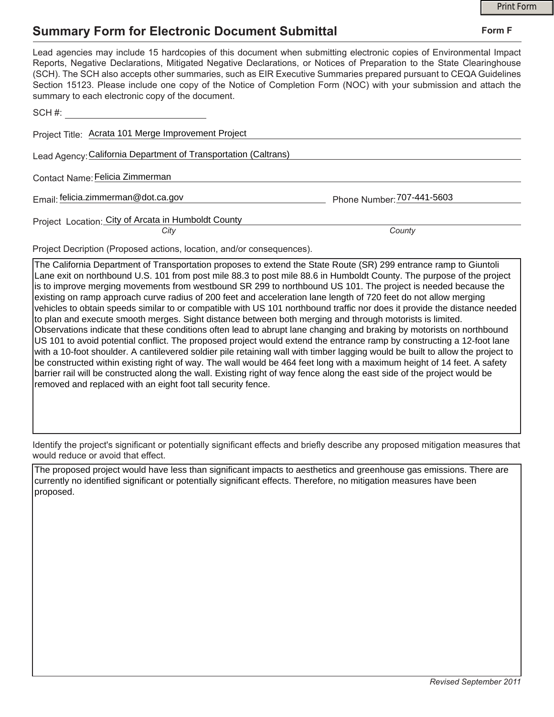## **Summary Form for Electronic Document Submittal**

|                                                                                                                                                                                                                                                                                                                                                                                                                                                                                                                                           |                            | <b>Print Form</b> |
|-------------------------------------------------------------------------------------------------------------------------------------------------------------------------------------------------------------------------------------------------------------------------------------------------------------------------------------------------------------------------------------------------------------------------------------------------------------------------------------------------------------------------------------------|----------------------------|-------------------|
| <b>Summary Form for Electronic Document Submittal</b>                                                                                                                                                                                                                                                                                                                                                                                                                                                                                     |                            | Form F            |
| Lead agencies may include 15 hardcopies of this document when submitting electronic copies of Environmental Impact<br>Reports, Negative Declarations, Mitigated Negative Declarations, or Notices of Preparation to the State Clearinghouse<br>(SCH). The SCH also accepts other summaries, such as EIR Executive Summaries prepared pursuant to CEQA Guidelines<br>Section 15123. Please include one copy of the Notice of Completion Form (NOC) with your submission and attach the<br>summary to each electronic copy of the document. |                            |                   |
| SCH#: All and the state of the state of the state of the state of the state of the state of the state of the state of the state of the state of the state of the state of the state of the state of the state of the state of                                                                                                                                                                                                                                                                                                             |                            |                   |
| Project Title: Acrata 101 Merge Improvement Project                                                                                                                                                                                                                                                                                                                                                                                                                                                                                       |                            |                   |
| Lead Agency: California Department of Transportation (Caltrans)                                                                                                                                                                                                                                                                                                                                                                                                                                                                           |                            |                   |
| Contact Name: Felicia Zimmerman                                                                                                                                                                                                                                                                                                                                                                                                                                                                                                           |                            |                   |
| Email: felicia.zimmerman@dot.ca.gov                                                                                                                                                                                                                                                                                                                                                                                                                                                                                                       | Phone Number: 707-441-5603 |                   |
| Project Location: City of Arcata in Humboldt County<br>City                                                                                                                                                                                                                                                                                                                                                                                                                                                                               | County                     |                   |
|                                                                                                                                                                                                                                                                                                                                                                                                                                                                                                                                           |                            |                   |

Project Decription (Proposed actions, location, and/or consequences).

The California Department of Transportation proposes to extend the State Route (SR) 299 entrance ramp to Giuntoli Lane exit on northbound U.S. 101 from post mile 88.3 to post mile 88.6 in Humboldt County. The purpose of the project is to improve merging movements from westbound SR 299 to northbound US 101. The project is needed because the existing on ramp approach curve radius of 200 feet and acceleration lane length of 720 feet do not allow merging vehicles to obtain speeds similar to or compatible with US 101 northbound traffic nor does it provide the distance needed to plan and execute smooth merges. Sight distance between both merging and through motorists is limited. Observations indicate that these conditions often lead to abrupt lane changing and braking by motorists on northbound US 101 to avoid potential conflict. The proposed project would extend the entrance ramp by constructing a 12-foot lane with a 10-foot shoulder. A cantilevered soldier pile retaining wall with timber lagging would be built to allow the project to be constructed within existing right of way. The wall would be 464 feet long with a maximum height of 14 feet. A safety barrier rail will be constructed along the wall. Existing right of way fence along the east side of the project would be removed and replaced with an eight foot tall security fence.

Identify the project's significant or potentially significant effects and briefly describe any proposed mitigation measures that would reduce or avoid that effect.

The proposed project would have less than significant impacts to aesthetics and greenhouse gas emissions. There are currently no identified significant or potentially significant effects. Therefore, no mitigation measures have been proposed.